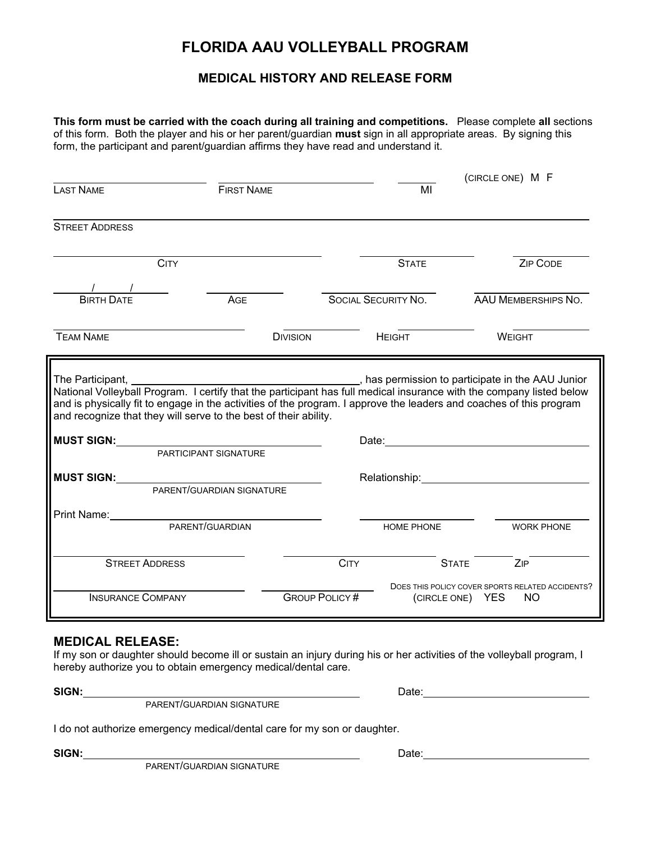## **FLORIDA AAU VOLLEYBALL PROGRAM**

## **MEDICAL HISTORY AND RELEASE FORM**

**This form must be carried with the coach during all training and competitions.** Please complete **all** sections of this form. Both the player and his or her parent/guardian **must** sign in all appropriate areas. By signing this form, the participant and parent/guardian affirms they have read and understand it.

| <b>LAST NAME</b>      |                                                                                                                                                                                                                                                                                                                 |                     |              | (CIRCLE ONE) M F                                                                                                                                                                                                               |
|-----------------------|-----------------------------------------------------------------------------------------------------------------------------------------------------------------------------------------------------------------------------------------------------------------------------------------------------------------|---------------------|--------------|--------------------------------------------------------------------------------------------------------------------------------------------------------------------------------------------------------------------------------|
|                       | <b>FIRST NAME</b>                                                                                                                                                                                                                                                                                               |                     | MI           |                                                                                                                                                                                                                                |
| <b>STREET ADDRESS</b> |                                                                                                                                                                                                                                                                                                                 |                     |              |                                                                                                                                                                                                                                |
| <b>CITY</b>           |                                                                                                                                                                                                                                                                                                                 |                     | <b>STATE</b> | ZIP CODE                                                                                                                                                                                                                       |
|                       |                                                                                                                                                                                                                                                                                                                 |                     |              |                                                                                                                                                                                                                                |
| <b>BIRTH DATE</b>     | AGE                                                                                                                                                                                                                                                                                                             | SOCIAL SECURITY NO. |              | <b>AAU MEMBERSHIPS NO.</b>                                                                                                                                                                                                     |
| <b>TEAM NAME</b>      | <b>DIVISION</b>                                                                                                                                                                                                                                                                                                 | <b>HEIGHT</b>       |              | <b>WEIGHT</b>                                                                                                                                                                                                                  |
|                       | National Volleyball Program. I certify that the participant has full medical insurance with the company listed below<br>and is physically fit to engage in the activities of the program. I approve the leaders and coaches of this program<br>and recognize that they will serve to the best of their ability. |                     |              |                                                                                                                                                                                                                                |
|                       |                                                                                                                                                                                                                                                                                                                 |                     |              |                                                                                                                                                                                                                                |
|                       |                                                                                                                                                                                                                                                                                                                 |                     |              |                                                                                                                                                                                                                                |
|                       | MUST SIGN:<br>PARTICIPANT SIGNATURE<br><b>MUST SIGN:</b><br>PARENT/GUARDIAN SIGNATURE                                                                                                                                                                                                                           |                     |              | Relationship: Web and the contract of the contract of the contract of the contract of the contract of the contract of the contract of the contract of the contract of the contract of the contract of the contract of the cont |
|                       |                                                                                                                                                                                                                                                                                                                 |                     |              |                                                                                                                                                                                                                                |
|                       | PARENT/GUARDIAN                                                                                                                                                                                                                                                                                                 |                     | HOME PHONE   | <b>WORK PHONE</b>                                                                                                                                                                                                              |
| <b>STREET ADDRESS</b> |                                                                                                                                                                                                                                                                                                                 | <b>CITY</b>         | <b>STATE</b> | ZIP                                                                                                                                                                                                                            |

## **MEDICAL RELEASE:**

If my son or daughter should become ill or sustain an injury during his or her activities of the volleyball program, I hereby authorize you to obtain emergency medical/dental care.

PARENT/GUARDIAN SIGNATURE

I do not authorize emergency medical/dental care for my son or daughter.

PARENT/GUARDIAN SIGNATURE

**SIGN:** Date:

SIGN: Date: Date: Date: Date: Date: Date: Date: Date: Date: Date: Date: Date: Date: Date: Date: Date: Date: Date: Date: Date: Date: Date: Date: Date: Date: Date: Date: Date: Date: Date: Date: Date: Date: Date: Date: Date: